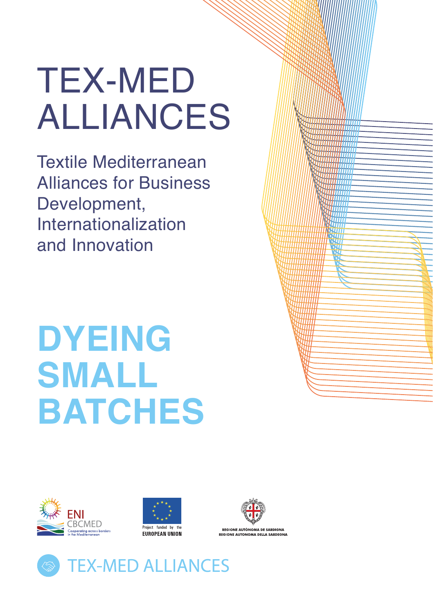# TEX-MED ALLIANCES

Textile Mediterranean Alliances for Business Development, Internationalization and Innovation

# **DYEING SMALL BATCHES**







**PEGIONE AUTÒNOMA DE SAPDIGNA** REGIONE AUTONOMA DELLA SARDE

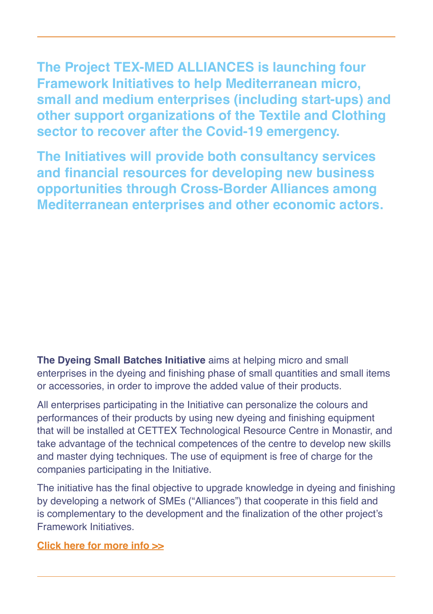**The Project TEX-MED ALLIANCES is launching four Framework Initiatives to help Mediterranean micro, small and medium enterprises (including start-ups) and other support organizations of the Textile and Clothing sector to recover after the Covid-19 emergency.** 

**The Initiatives will provide both consultancy services and financial resources for developing new business opportunities through Cross-Border Alliances among Mediterranean enterprises and other economic actors.**

**The Dyeing Small Batches Initiative** aims at helping micro and small enterprises in the dyeing and finishing phase of small quantities and small items or accessories, in order to improve the added value of their products.

All enterprises participating in the Initiative can personalize the colours and performances of their products by using new dyeing and finishing equipment that will be installed at CETTEX Technological Resource Centre in Monastir, and take advantage of the technical competences of the centre to develop new skills and master dying techniques. The use of equipment is free of charge for the companies participating in the Initiative.

The initiative has the final objective to upgrade knowledge in dyeing and finishing by developing a network of SMEs ("Alliances") that cooperate in this field and is complementary to the development and the finalization of the other project's Framework Initiatives.

**Click here for [more info >](http://www.enicbcmed.eu/projects/tex-med-alliances)>**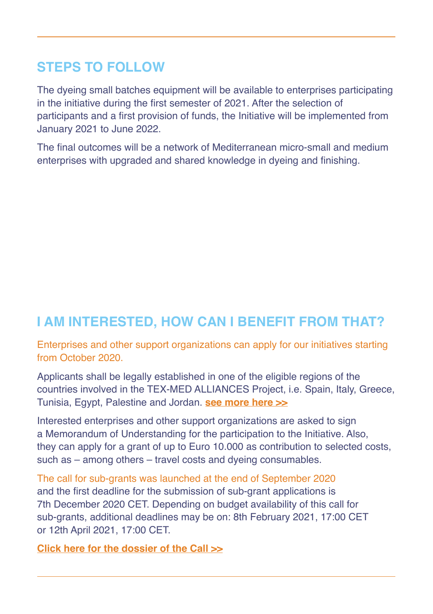## **STEPS TO FOLLOW**

The dyeing small batches equipment will be available to enterprises participating in the initiative during the first semester of 2021. After the selection of participants and a first provision of funds, the Initiative will be implemented from January 2021 to June 2022.

The final outcomes will be a network of Mediterranean micro-small and medium enterprises with upgraded and shared knowledge in dyeing and finishing.

## **I AM INTERESTED, HOW CAN I BENEFIT FROM THAT?**

Enterprises and other support organizations can apply for our initiatives starting from October 2020.

Applicants shall be legally established in one of the eligible regions of the countries involved in the TEX-MED ALLIANCES Project, i.e. Spain, Italy, Greece, Tunisia, Egypt, Palestine and Jordan. **[see more here](http://www.enicbcmed.eu/about-us/cooperation-area) >>**

Interested enterprises and other support organizations are asked to sign a Memorandum of Understanding for the participation to the Initiative. Also, they can apply for a grant of up to Euro 10.000 as contribution to selected costs, such as – among others – travel costs and dyeing consumables.

The call for sub-grants was launched at the end of September 2020 and the first deadline for the submission of sub-grant applications is 7th December 2020 CET. Depending on budget availability of this call for sub-grants, additional deadlines may be on: 8th February 2021, 17:00 CET or 12th April 2021, 17:00 CET.

**Click here for the dossier of the Cal[l >>](http://www.enicbcmed.eu/tex-med-alliances-offers-financial-support-foster-internationalization-circular-economy-and)**